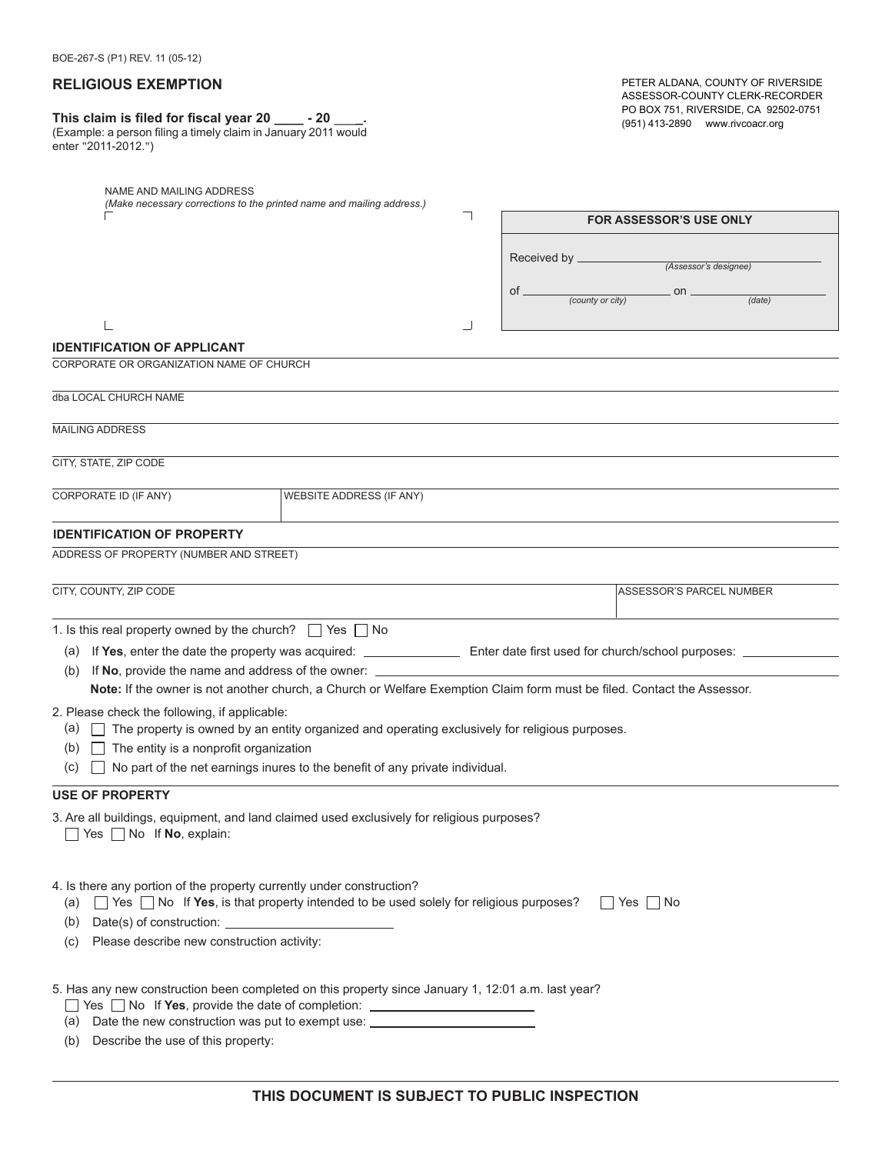#### **RELIGIOUS EXEMPTION**

# **This claim is filed for fiscal year 20 \_\_\_\_ - 20** \_\_\_**\_.**

| $\frac{1}{100}$ claim is med for notar year 20 _____<br>-40.   |  |
|----------------------------------------------------------------|--|
| (Example: a person filing a timely claim in January 2011 would |  |
| enter "2011-2012.")                                            |  |

PETER ALDANA, COUNTY OF RIVERSIDE ASSESSOR-COUNTY CLERK-RECORDER PO BOX 751, RIVERSIDE, CA 92502-0751 (951) 413-2890 www.rivcoacr.org

| NAME AND MAILING ADDRESS<br>(Make necessary corrections to the printed name and mailing address.)                                                                                                                                                                          |                          |                  |                                |        |
|----------------------------------------------------------------------------------------------------------------------------------------------------------------------------------------------------------------------------------------------------------------------------|--------------------------|------------------|--------------------------------|--------|
|                                                                                                                                                                                                                                                                            |                          |                  | <b>FOR ASSESSOR'S USE ONLY</b> |        |
|                                                                                                                                                                                                                                                                            |                          |                  |                                |        |
|                                                                                                                                                                                                                                                                            |                          | Received by _    | (Assessor's designee)          |        |
|                                                                                                                                                                                                                                                                            |                          | $of =$           | $\_$ on $\_$                   |        |
|                                                                                                                                                                                                                                                                            |                          | (county or city) |                                | (data) |
|                                                                                                                                                                                                                                                                            |                          |                  |                                |        |
| <b>IDENTIFICATION OF APPLICANT</b>                                                                                                                                                                                                                                         |                          |                  |                                |        |
| CORPORATE OR ORGANIZATION NAME OF CHURCH                                                                                                                                                                                                                                   |                          |                  |                                |        |
| dba LOCAL CHURCH NAME                                                                                                                                                                                                                                                      |                          |                  |                                |        |
| <b>MAILING ADDRESS</b>                                                                                                                                                                                                                                                     |                          |                  |                                |        |
| CITY, STATE, ZIP CODE                                                                                                                                                                                                                                                      |                          |                  |                                |        |
| CORPORATE ID (IF ANY)                                                                                                                                                                                                                                                      |                          |                  |                                |        |
|                                                                                                                                                                                                                                                                            | WEBSITE ADDRESS (IF ANY) |                  |                                |        |
| <b>IDENTIFICATION OF PROPERTY</b>                                                                                                                                                                                                                                          |                          |                  |                                |        |
| ADDRESS OF PROPERTY (NUMBER AND STREET)                                                                                                                                                                                                                                    |                          |                  |                                |        |
|                                                                                                                                                                                                                                                                            |                          |                  |                                |        |
| CITY, COUNTY, ZIP CODE                                                                                                                                                                                                                                                     |                          |                  | ASSESSOR'S PARCEL NUMBER       |        |
| 1. Is this real property owned by the church? $\Box$ Yes $\Box$ No                                                                                                                                                                                                         |                          |                  |                                |        |
|                                                                                                                                                                                                                                                                            |                          |                  |                                |        |
| If No, provide the name and address of the owner: ______________________________<br>(b)                                                                                                                                                                                    |                          |                  |                                |        |
| Note: If the owner is not another church, a Church or Welfare Exemption Claim form must be filed. Contact the Assessor.                                                                                                                                                    |                          |                  |                                |        |
| 2. Please check the following, if applicable:                                                                                                                                                                                                                              |                          |                  |                                |        |
| $\Box$ The property is owned by an entity organized and operating exclusively for religious purposes.<br>(a)                                                                                                                                                               |                          |                  |                                |        |
| $\Box$ The entity is a nonprofit organization<br>(b)                                                                                                                                                                                                                       |                          |                  |                                |        |
| $\Box$ No part of the net earnings inures to the benefit of any private individual.<br>(C)                                                                                                                                                                                 |                          |                  |                                |        |
| <b>USE OF PROPERTY</b>                                                                                                                                                                                                                                                     |                          |                  |                                |        |
| 3. Are all buildings, equipment, and land claimed used exclusively for religious purposes?<br>Yes No If No, explain:                                                                                                                                                       |                          |                  |                                |        |
| 4. Is there any portion of the property currently under construction?<br>$\Box$ Yes $\Box$ No If Yes, is that property intended to be used solely for religious purposes?<br>(a)                                                                                           |                          |                  | $\Box$ Yes $\Box$ No           |        |
| (b)                                                                                                                                                                                                                                                                        |                          |                  |                                |        |
| Please describe new construction activity:<br>(c)                                                                                                                                                                                                                          |                          |                  |                                |        |
| 5. Has any new construction been completed on this property since January 1, 12:01 a.m. last year?<br>□ Yes □ No If Yes, provide the date of completion: _____________________________<br>(a) Date the new construction was put to exempt use: ___________________________ |                          |                  |                                |        |
| (b) Describe the use of this property:                                                                                                                                                                                                                                     |                          |                  |                                |        |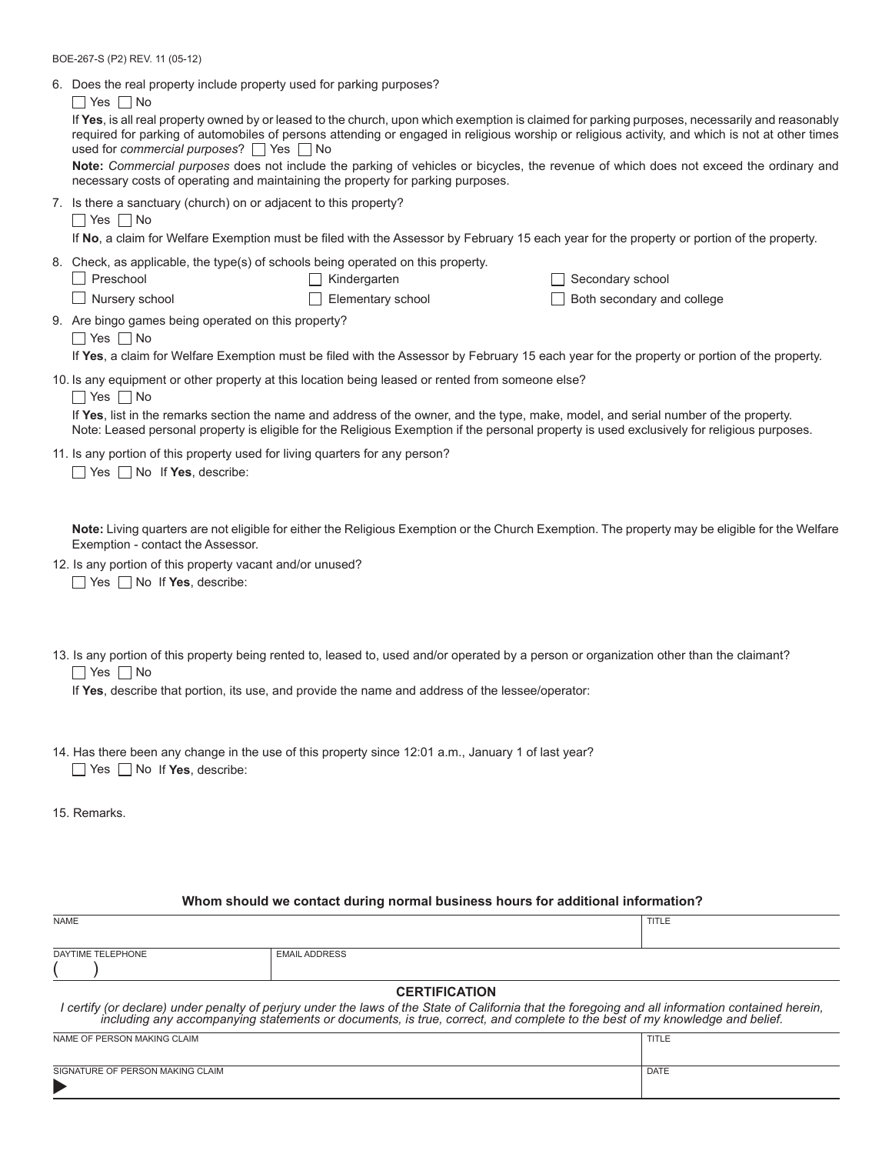BOE-267-S (P2) REV. 11 (05-12)

| 6. Does the real property include property used for parking purposes?<br>$\Box$ Yes $\Box$ No<br>If Yes, is all real property owned by or leased to the church, upon which exemption is claimed for parking purposes, necessarily and reasonably<br>required for parking of automobiles of persons attending or engaged in religious worship or religious activity, and which is not at other times |                                   |                                                                                                                                                                                                                                                                                     |  |  |  |
|-----------------------------------------------------------------------------------------------------------------------------------------------------------------------------------------------------------------------------------------------------------------------------------------------------------------------------------------------------------------------------------------------------|-----------------------------------|-------------------------------------------------------------------------------------------------------------------------------------------------------------------------------------------------------------------------------------------------------------------------------------|--|--|--|
| used for commercial purposes? $\Box$ Yes $\Box$ No<br>Note: Commercial purposes does not include the parking of vehicles or bicycles, the revenue of which does not exceed the ordinary and<br>necessary costs of operating and maintaining the property for parking purposes.                                                                                                                      |                                   |                                                                                                                                                                                                                                                                                     |  |  |  |
| 7. Is there a sanctuary (church) on or adjacent to this property?<br>$\Box$ Yes $\Box$ No                                                                                                                                                                                                                                                                                                           |                                   | If No, a claim for Welfare Exemption must be filed with the Assessor by February 15 each year for the property or portion of the property.                                                                                                                                          |  |  |  |
| 8. Check, as applicable, the type(s) of schools being operated on this property.<br>Preschool<br>Nursery school                                                                                                                                                                                                                                                                                     | Kindergarten<br>Elementary school | Secondary school<br>Both secondary and college                                                                                                                                                                                                                                      |  |  |  |
| 9. Are bingo games being operated on this property?<br>$\Box$ Yes $\Box$ No                                                                                                                                                                                                                                                                                                                         |                                   | If Yes, a claim for Welfare Exemption must be filed with the Assessor by February 15 each year for the property or portion of the property.                                                                                                                                         |  |  |  |
| 10. Is any equipment or other property at this location being leased or rented from someone else?<br>$\Box$ Yes $\Box$ No                                                                                                                                                                                                                                                                           |                                   | If Yes, list in the remarks section the name and address of the owner, and the type, make, model, and serial number of the property.<br>Note: Leased personal property is eligible for the Religious Exemption if the personal property is used exclusively for religious purposes. |  |  |  |
| 11. Is any portion of this property used for living quarters for any person?<br>Yes $\Box$ No If Yes, describe:                                                                                                                                                                                                                                                                                     |                                   |                                                                                                                                                                                                                                                                                     |  |  |  |
| Exemption - contact the Assessor.                                                                                                                                                                                                                                                                                                                                                                   |                                   | Note: Living quarters are not eligible for either the Religious Exemption or the Church Exemption. The property may be eligible for the Welfare                                                                                                                                     |  |  |  |
| 12. Is any portion of this property vacant and/or unused?<br>$\Box$ Yes $\Box$ No If Yes, describe:                                                                                                                                                                                                                                                                                                 |                                   |                                                                                                                                                                                                                                                                                     |  |  |  |
|                                                                                                                                                                                                                                                                                                                                                                                                     |                                   |                                                                                                                                                                                                                                                                                     |  |  |  |

13. Is any portion of this property being rented to, leased to, used and/or operated by a person or organization other than the claimant? ■ Yes ■ No

If **Yes**, describe that portion, its use, and provide the name and address of the lessee/operator:

- $Yes \bigsqcup No$  If **Yes**, describe: 14. Has there been any change in the use of this property since 12:01 a.m., January 1 of last year?
- 15. Remarks.

#### **Whom should we contact during normal business hours for additional information?**

| <b>NAME</b>                                                                                                                                                                                                                       |                      | TITLE |  |  |
|-----------------------------------------------------------------------------------------------------------------------------------------------------------------------------------------------------------------------------------|----------------------|-------|--|--|
|                                                                                                                                                                                                                                   |                      |       |  |  |
| DAYTIME TELEPHONE                                                                                                                                                                                                                 | <b>EMAIL ADDRESS</b> |       |  |  |
|                                                                                                                                                                                                                                   |                      |       |  |  |
| <b>CERTIFICATION</b>                                                                                                                                                                                                              |                      |       |  |  |
| I certify (or declare) under penalty of perjury under the laws of the State of California that the foregoing and all information contained herein,<br>including any accompanying statements or documents, is true, correct, and c |                      |       |  |  |

# NAME OF PERSON MAKING CLAIM **TITLE**

| SIGNATURE OF PERSON MAKING CLAIM | <b>DATE</b> |
|----------------------------------|-------------|
|                                  |             |